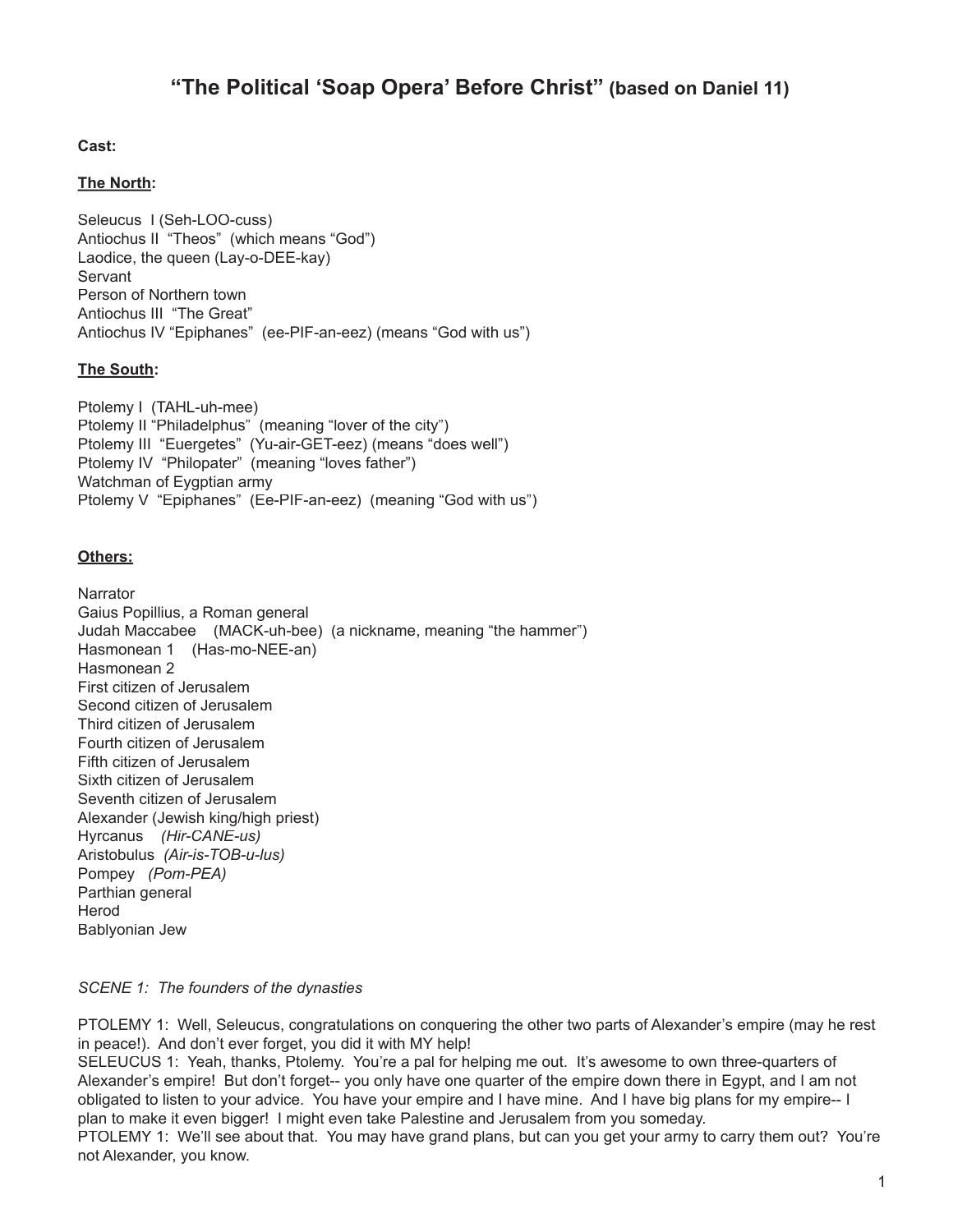# **"The Political 'Soap Opera' Before Christ" (based on Daniel 11)**

## **Cast:**

## **The North:**

Seleucus I (Seh-LOO-cuss) Antiochus II "Theos" (which means "God") Laodice, the queen (Lay-o-DEE-kay) **Servant** Person of Northern town Antiochus III "The Great" Antiochus IV "Epiphanes" (ee-PIF-an-eez) (means "God with us")

### **The South:**

Ptolemy I (TAHL-uh-mee) Ptolemy II "Philadelphus" (meaning "lover of the city") Ptolemy III "Euergetes" (Yu-air-GET-eez) (means "does well") Ptolemy IV "Philopater" (meaning "loves father") Watchman of Eygptian army Ptolemy V "Epiphanes" (Ee-PIF-an-eez) (meaning "God with us")

## **Others:**

**Narrator** Gaius Popillius, a Roman general Judah Maccabee (MACK-uh-bee) (a nickname, meaning "the hammer") Hasmonean 1 (Has-mo-NEE-an) Hasmonean 2 First citizen of Jerusalem Second citizen of Jerusalem Third citizen of Jerusalem Fourth citizen of Jerusalem Fifth citizen of Jerusalem Sixth citizen of Jerusalem Seventh citizen of Jerusalem Alexander (Jewish king/high priest) Hyrcanus *(Hir-CANE-us)* Aristobulus *(Air-is-TOB-u-lus)* Pompey *(Pom-PEA)* Parthian general Herod Bablyonian Jew

#### *SCENE 1: The founders of the dynasties*

PTOLEMY 1: Well, Seleucus, congratulations on conquering the other two parts of Alexander's empire (may he rest in peace!). And don't ever forget, you did it with MY help!

SELEUCUS 1: Yeah, thanks, Ptolemy. You're a pal for helping me out. It's awesome to own three-quarters of Alexander's empire! But don't forget-- you only have one quarter of the empire down there in Egypt, and I am not obligated to listen to your advice. You have your empire and I have mine. And I have big plans for my empire-- I plan to make it even bigger! I might even take Palestine and Jerusalem from you someday.

PTOLEMY 1: We'll see about that. You may have grand plans, but can you get your army to carry them out? You're not Alexander, you know.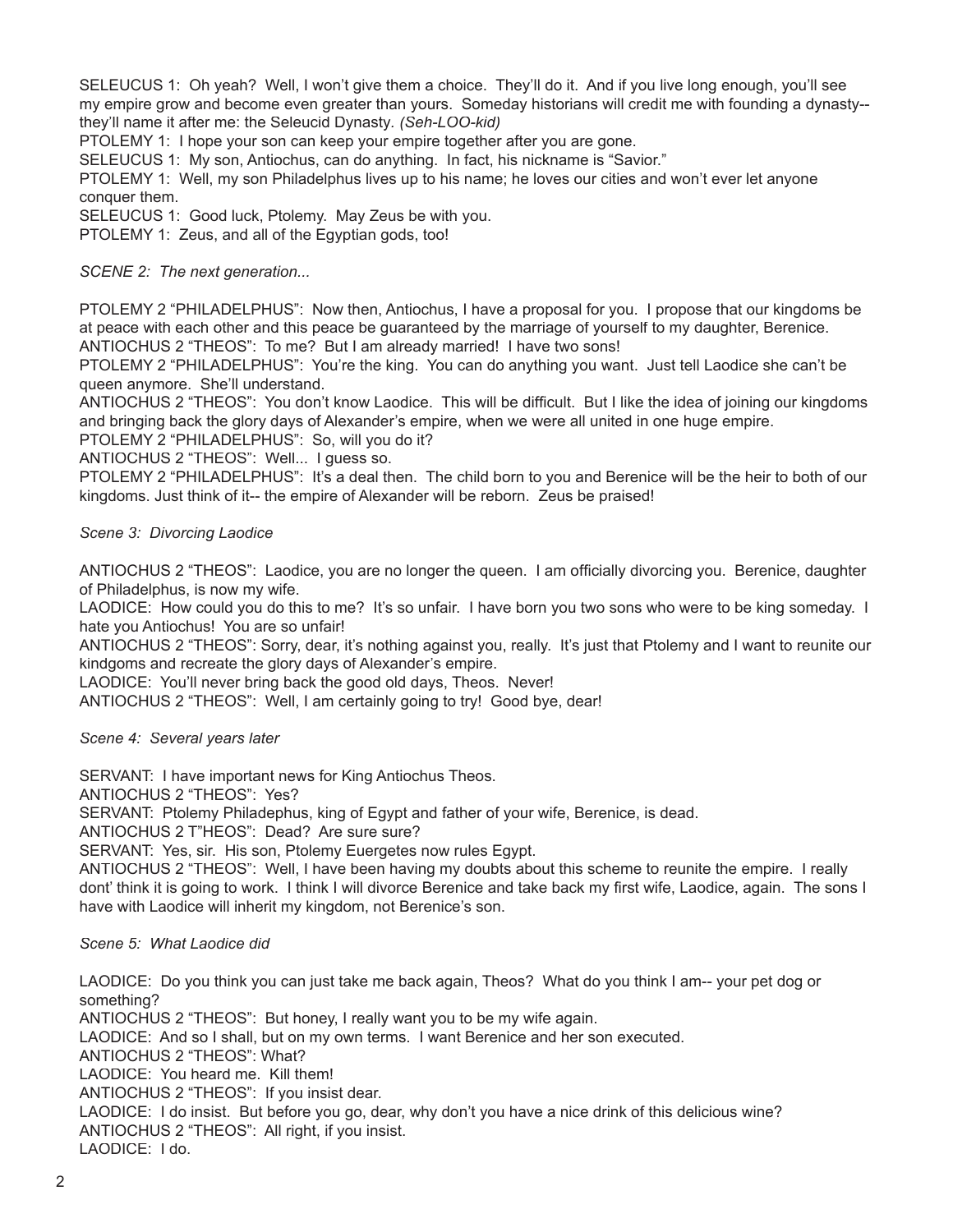SELEUCUS 1: Oh yeah? Well, I won't give them a choice. They'll do it. And if you live long enough, you'll see my empire grow and become even greater than yours. Someday historians will credit me with founding a dynasty- they'll name it after me: the Seleucid Dynasty*. (Seh-LOO-kid)*

PTOLEMY 1: I hope your son can keep your empire together after you are gone.

SELEUCUS 1: My son, Antiochus, can do anything. In fact, his nickname is "Savior."

PTOLEMY 1: Well, my son Philadelphus lives up to his name; he loves our cities and won't ever let anyone conquer them.

SELEUCUS 1: Good luck, Ptolemy. May Zeus be with you.

PTOLEMY 1: Zeus, and all of the Egyptian gods, too!

*SCENE 2: The next generation...*

PTOLEMY 2 "PHILADELPHUS": Now then, Antiochus, I have a proposal for you. I propose that our kingdoms be at peace with each other and this peace be guaranteed by the marriage of yourself to my daughter, Berenice. ANTIOCHUS 2 "THEOS": To me? But I am already married! I have two sons!

PTOLEMY 2 "PHILADELPHUS": You're the king. You can do anything you want. Just tell Laodice she can't be queen anymore. She'll understand.

ANTIOCHUS 2 "THEOS": You don't know Laodice. This will be difficult. But I like the idea of joining our kingdoms and bringing back the glory days of Alexander's empire, when we were all united in one huge empire.

PTOLEMY 2 "PHILADELPHUS": So, will you do it?

ANTIOCHUS 2 "THEOS": Well... I guess so.

PTOLEMY 2 "PHILADELPHUS": It's a deal then. The child born to you and Berenice will be the heir to both of our kingdoms. Just think of it-- the empire of Alexander will be reborn. Zeus be praised!

*Scene 3: Divorcing Laodice*

ANTIOCHUS 2 "THEOS": Laodice, you are no longer the queen. I am officially divorcing you. Berenice, daughter of Philadelphus, is now my wife.

LAODICE: How could you do this to me? It's so unfair. I have born you two sons who were to be king someday. I hate you Antiochus! You are so unfair!

ANTIOCHUS 2 "THEOS": Sorry, dear, it's nothing against you, really. It's just that Ptolemy and I want to reunite our kindgoms and recreate the glory days of Alexander's empire.

LAODICE: You'll never bring back the good old days, Theos. Never!

ANTIOCHUS 2 "THEOS": Well, I am certainly going to try! Good bye, dear!

*Scene 4: Several years later*

SERVANT: I have important news for King Antiochus Theos.

ANTIOCHUS 2 "THEOS": Yes?

SERVANT: Ptolemy Philadephus, king of Egypt and father of your wife, Berenice, is dead.

ANTIOCHUS 2 T"HEOS": Dead? Are sure sure?

SERVANT: Yes, sir. His son, Ptolemy Euergetes now rules Egypt.

ANTIOCHUS 2 "THEOS": Well, I have been having my doubts about this scheme to reunite the empire. I really dont' think it is going to work. I think I will divorce Berenice and take back my first wife, Laodice, again. The sons I have with Laodice will inherit my kingdom, not Berenice's son.

## *Scene 5: What Laodice did*

LAODICE: Do you think you can just take me back again, Theos? What do you think I am-- your pet dog or something?

ANTIOCHUS 2 "THEOS": But honey, I really want you to be my wife again.

LAODICE: And so I shall, but on my own terms. I want Berenice and her son executed.

ANTIOCHUS 2 "THEOS": What?

LAODICE: You heard me. Kill them!

ANTIOCHUS 2 "THEOS": If you insist dear.

LAODICE: I do insist. But before you go, dear, why don't you have a nice drink of this delicious wine? ANTIOCHUS 2 "THEOS": All right, if you insist.

LAODICE: I do.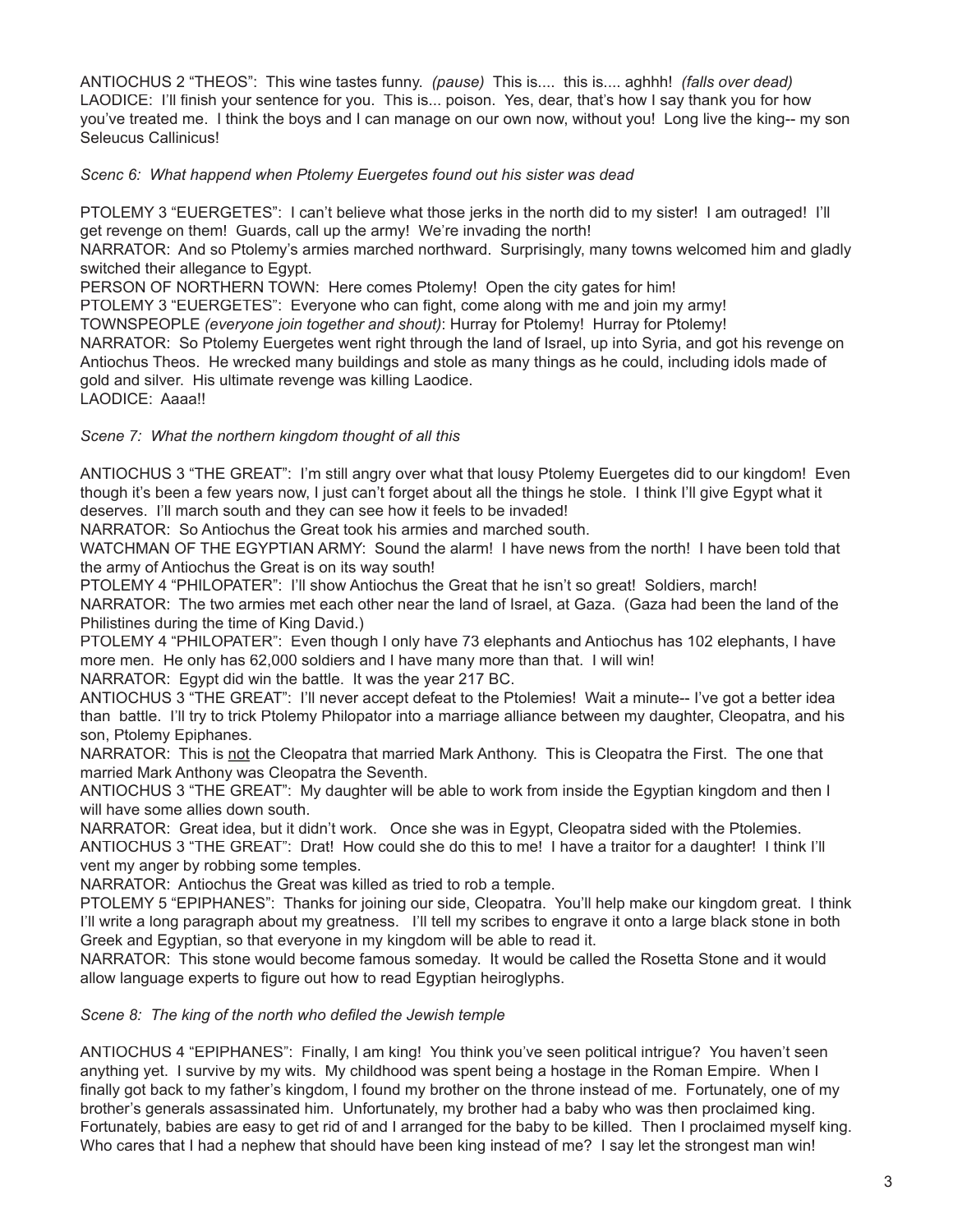ANTIOCHUS 2 "THEOS": This wine tastes funny. *(pause)* This is.... this is.... aghhh! *(falls over dead)* LAODICE: I'll finish your sentence for you. This is... poison. Yes, dear, that's how I say thank you for how you've treated me. I think the boys and I can manage on our own now, without you! Long live the king-- my son Seleucus Callinicus!

*Scenc 6: What happend when Ptolemy Euergetes found out his sister was dead*

PTOLEMY 3 "EUERGETES": I can't believe what those jerks in the north did to my sister! I am outraged! I'll get revenge on them! Guards, call up the army! We're invading the north!

NARRATOR: And so Ptolemy's armies marched northward. Surprisingly, many towns welcomed him and gladly switched their allegance to Egypt.

PERSON OF NORTHERN TOWN: Here comes Ptolemy! Open the city gates for him!

PTOLEMY 3 "EUERGETES": Everyone who can fight, come along with me and join my army!

TOWNSPEOPLE *(everyone join together and shout)*: Hurray for Ptolemy! Hurray for Ptolemy!

NARRATOR: So Ptolemy Euergetes went right through the land of Israel, up into Syria, and got his revenge on Antiochus Theos. He wrecked many buildings and stole as many things as he could, including idols made of gold and silver. His ultimate revenge was killing Laodice.

LAODICE: Aaaa!!

## *Scene 7: What the northern kingdom thought of all this*

ANTIOCHUS 3 "THE GREAT": I'm still angry over what that lousy Ptolemy Euergetes did to our kingdom! Even though it's been a few years now, I just can't forget about all the things he stole. I think I'll give Egypt what it deserves. I'll march south and they can see how it feels to be invaded!

NARRATOR: So Antiochus the Great took his armies and marched south.

WATCHMAN OF THE EGYPTIAN ARMY: Sound the alarm! I have news from the north! I have been told that the army of Antiochus the Great is on its way south!

PTOLEMY 4 "PHILOPATER": I'll show Antiochus the Great that he isn't so great! Soldiers, march! NARRATOR: The two armies met each other near the land of Israel, at Gaza. (Gaza had been the land of the Philistines during the time of King David.)

PTOLEMY 4 "PHILOPATER": Even though I only have 73 elephants and Antiochus has 102 elephants, I have more men. He only has 62,000 soldiers and I have many more than that. I will win!

NARRATOR: Egypt did win the battle. It was the year 217 BC.

ANTIOCHUS 3 "THE GREAT": I'll never accept defeat to the Ptolemies! Wait a minute-- I've got a better idea than battle. I'll try to trick Ptolemy Philopator into a marriage alliance between my daughter, Cleopatra, and his son, Ptolemy Epiphanes.

NARRATOR: This is not the Cleopatra that married Mark Anthony. This is Cleopatra the First. The one that married Mark Anthony was Cleopatra the Seventh.

ANTIOCHUS 3 "THE GREAT": My daughter will be able to work from inside the Egyptian kingdom and then I will have some allies down south.

NARRATOR: Great idea, but it didn't work. Once she was in Egypt, Cleopatra sided with the Ptolemies. ANTIOCHUS 3 "THE GREAT": Drat! How could she do this to me! I have a traitor for a daughter! I think I'll vent my anger by robbing some temples.

NARRATOR: Antiochus the Great was killed as tried to rob a temple.

PTOLEMY 5 "EPIPHANES": Thanks for joining our side, Cleopatra. You'll help make our kingdom great. I think I'll write a long paragraph about my greatness. I'll tell my scribes to engrave it onto a large black stone in both Greek and Egyptian, so that everyone in my kingdom will be able to read it.

NARRATOR: This stone would become famous someday. It would be called the Rosetta Stone and it would allow language experts to figure out how to read Egyptian heiroglyphs.

*Scene 8: The king of the north who defiled the Jewish temple* 

ANTIOCHUS 4 "EPIPHANES": Finally, I am king! You think you've seen political intrigue? You haven't seen anything yet. I survive by my wits. My childhood was spent being a hostage in the Roman Empire. When I finally got back to my father's kingdom, I found my brother on the throne instead of me. Fortunately, one of my brother's generals assassinated him. Unfortunately, my brother had a baby who was then proclaimed king. Fortunately, babies are easy to get rid of and I arranged for the baby to be killed. Then I proclaimed myself king. Who cares that I had a nephew that should have been king instead of me? I say let the strongest man win!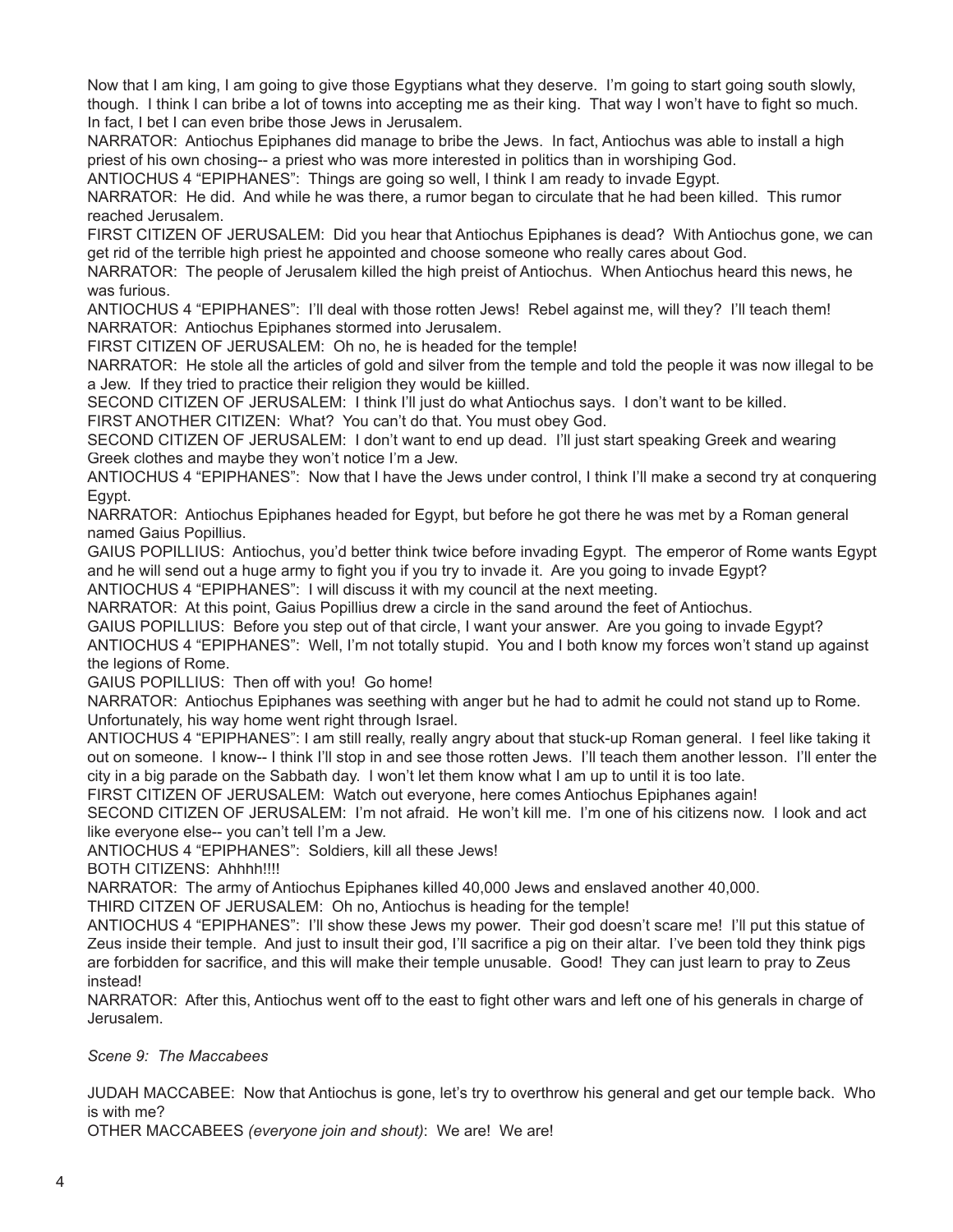Now that I am king, I am going to give those Egyptians what they deserve. I'm going to start going south slowly, though. I think I can bribe a lot of towns into accepting me as their king. That way I won't have to fight so much. In fact, I bet I can even bribe those Jews in Jerusalem.

NARRATOR: Antiochus Epiphanes did manage to bribe the Jews. In fact, Antiochus was able to install a high priest of his own chosing-- a priest who was more interested in politics than in worshiping God.

ANTIOCHUS 4 "EPIPHANES": Things are going so well, I think I am ready to invade Egypt.

NARRATOR: He did. And while he was there, a rumor began to circulate that he had been killed. This rumor reached Jerusalem.

FIRST CITIZEN OF JERUSALEM: Did you hear that Antiochus Epiphanes is dead? With Antiochus gone, we can get rid of the terrible high priest he appointed and choose someone who really cares about God.

NARRATOR: The people of Jerusalem killed the high preist of Antiochus. When Antiochus heard this news, he was furious.

ANTIOCHUS 4 "EPIPHANES": I'll deal with those rotten Jews! Rebel against me, will they? I'll teach them! NARRATOR: Antiochus Epiphanes stormed into Jerusalem.

FIRST CITIZEN OF JERUSALEM: Oh no, he is headed for the temple!

NARRATOR: He stole all the articles of gold and silver from the temple and told the people it was now illegal to be a Jew. If they tried to practice their religion they would be kiilled.

SECOND CITIZEN OF JERUSALEM: I think I'll just do what Antiochus says. I don't want to be killed.

FIRST ANOTHER CITIZEN: What? You can't do that. You must obey God.

SECOND CITIZEN OF JERUSALEM: I don't want to end up dead. I'll just start speaking Greek and wearing Greek clothes and maybe they won't notice I'm a Jew.

ANTIOCHUS 4 "EPIPHANES": Now that I have the Jews under control, I think I'll make a second try at conquering Egypt.

NARRATOR: Antiochus Epiphanes headed for Egypt, but before he got there he was met by a Roman general named Gaius Popillius.

GAIUS POPILLIUS: Antiochus, you'd better think twice before invading Egypt. The emperor of Rome wants Egypt and he will send out a huge army to fight you if you try to invade it. Are you going to invade Egypt?

ANTIOCHUS 4 "EPIPHANES": I will discuss it with my council at the next meeting.

NARRATOR: At this point, Gaius Popillius drew a circle in the sand around the feet of Antiochus.

GAIUS POPILLIUS: Before you step out of that circle, I want your answer. Are you going to invade Egypt?

ANTIOCHUS 4 "EPIPHANES": Well, I'm not totally stupid. You and I both know my forces won't stand up against the legions of Rome.

GAIUS POPILLIUS: Then off with you! Go home!

NARRATOR: Antiochus Epiphanes was seething with anger but he had to admit he could not stand up to Rome. Unfortunately, his way home went right through Israel.

ANTIOCHUS 4 "EPIPHANES": I am still really, really angry about that stuck-up Roman general. I feel like taking it out on someone. I know-- I think I'll stop in and see those rotten Jews. I'll teach them another lesson. I'll enter the city in a big parade on the Sabbath day. I won't let them know what I am up to until it is too late.

FIRST CITIZEN OF JERUSALEM: Watch out everyone, here comes Antiochus Epiphanes again!

SECOND CITIZEN OF JERUSALEM: I'm not afraid. He won't kill me. I'm one of his citizens now. I look and act like everyone else-- you can't tell I'm a Jew.

ANTIOCHUS 4 "EPIPHANES": Soldiers, kill all these Jews!

BOTH CITIZENS: Ahhhh!!!!

NARRATOR: The army of Antiochus Epiphanes killed 40,000 Jews and enslaved another 40,000.

THIRD CITZEN OF JERUSALEM: Oh no, Antiochus is heading for the temple!

ANTIOCHUS 4 "EPIPHANES": I'll show these Jews my power. Their god doesn't scare me! I'll put this statue of Zeus inside their temple. And just to insult their god, I'll sacrifice a pig on their altar. I've been told they think pigs are forbidden for sacrifice, and this will make their temple unusable. Good! They can just learn to pray to Zeus instead!

NARRATOR: After this, Antiochus went off to the east to fight other wars and left one of his generals in charge of Jerusalem.

#### *Scene 9: The Maccabees*

JUDAH MACCABEE: Now that Antiochus is gone, let's try to overthrow his general and get our temple back. Who is with me?

OTHER MACCABEES *(everyone join and shout)*: We are! We are!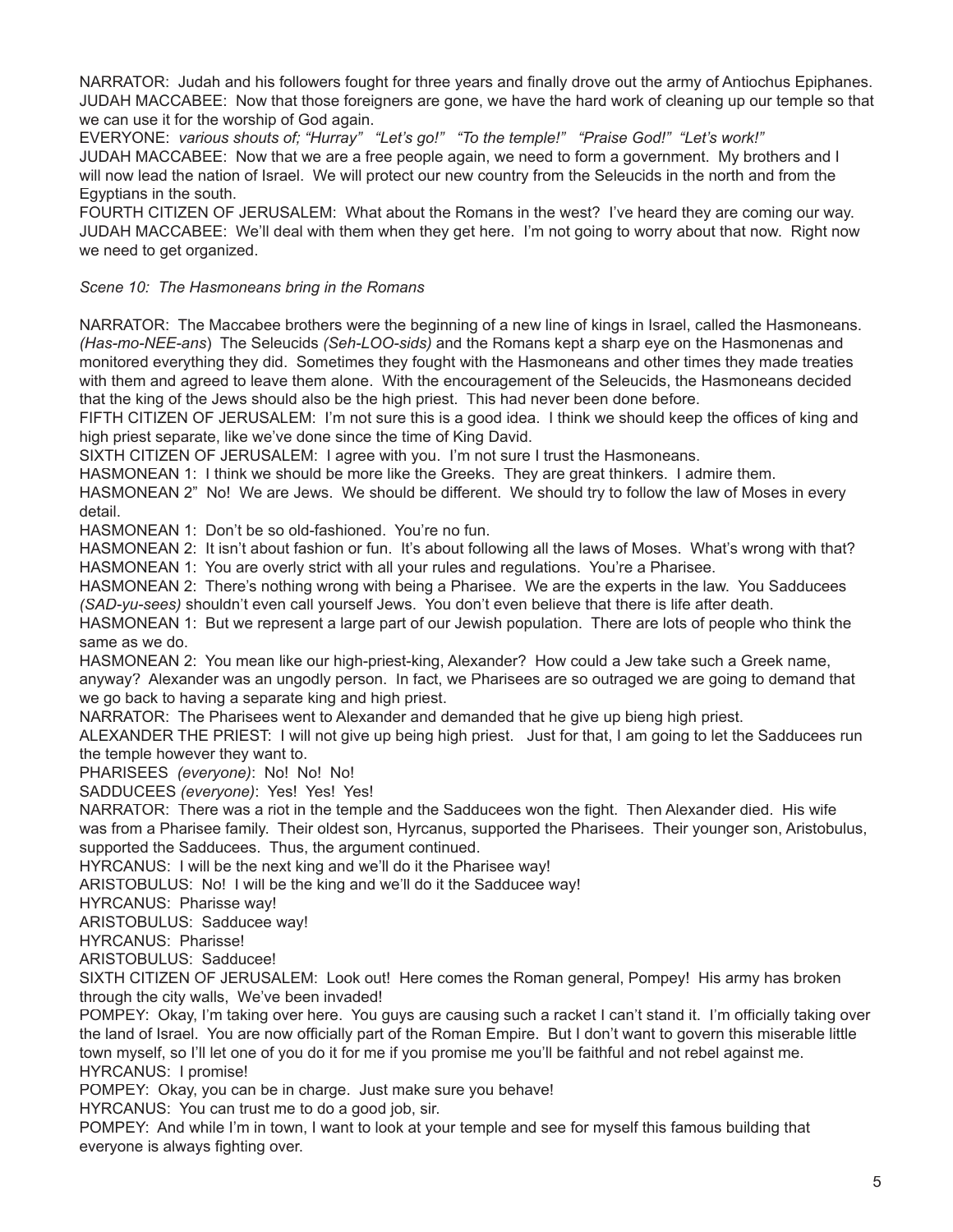NARRATOR: Judah and his followers fought for three years and finally drove out the army of Antiochus Epiphanes. JUDAH MACCABEE: Now that those foreigners are gone, we have the hard work of cleaning up our temple so that we can use it for the worship of God again.

EVERYONE: *various shouts of; "Hurray" "Let's go!" "To the temple!" "Praise God!" "Let's work!"*  JUDAH MACCABEE: Now that we are a free people again, we need to form a government. My brothers and I will now lead the nation of Israel. We will protect our new country from the Seleucids in the north and from the Egyptians in the south.

FOURTH CITIZEN OF JERUSALEM: What about the Romans in the west? I've heard they are coming our way. JUDAH MACCABEE: We'll deal with them when they get here. I'm not going to worry about that now. Right now we need to get organized.

# *Scene 10: The Hasmoneans bring in the Romans*

NARRATOR: The Maccabee brothers were the beginning of a new line of kings in Israel, called the Hasmoneans. *(Has-mo-NEE-ans*) The Seleucids *(Seh-LOO-sids)* and the Romans kept a sharp eye on the Hasmonenas and monitored everything they did. Sometimes they fought with the Hasmoneans and other times they made treaties with them and agreed to leave them alone. With the encouragement of the Seleucids, the Hasmoneans decided that the king of the Jews should also be the high priest. This had never been done before.

FIFTH CITIZEN OF JERUSALEM: I'm not sure this is a good idea. I think we should keep the offices of king and high priest separate, like we've done since the time of King David.

SIXTH CITIZEN OF JERUSALEM: I agree with you. I'm not sure I trust the Hasmoneans.

HASMONEAN 1: I think we should be more like the Greeks. They are great thinkers. I admire them.

HASMONEAN 2" No! We are Jews. We should be different. We should try to follow the law of Moses in every detail.

HASMONEAN 1: Don't be so old-fashioned. You're no fun.

HASMONEAN 2: It isn't about fashion or fun. It's about following all the laws of Moses. What's wrong with that? HASMONEAN 1: You are overly strict with all your rules and regulations. You're a Pharisee.

HASMONEAN 2: There's nothing wrong with being a Pharisee. We are the experts in the law. You Sadducees *(SAD-yu-sees)* shouldn't even call yourself Jews. You don't even believe that there is life after death.

HASMONEAN 1: But we represent a large part of our Jewish population. There are lots of people who think the same as we do.

HASMONEAN 2: You mean like our high-priest-king, Alexander? How could a Jew take such a Greek name, anyway? Alexander was an ungodly person. In fact, we Pharisees are so outraged we are going to demand that we go back to having a separate king and high priest.

NARRATOR: The Pharisees went to Alexander and demanded that he give up bieng high priest.

ALEXANDER THE PRIEST: I will not give up being high priest. Just for that, I am going to let the Sadducees run the temple however they want to.

PHARISEES *(everyone)*: No! No! No!

SADDUCEES *(everyone)*: Yes! Yes! Yes!

NARRATOR: There was a riot in the temple and the Sadducees won the fight. Then Alexander died. His wife was from a Pharisee family. Their oldest son, Hyrcanus, supported the Pharisees. Their younger son, Aristobulus, supported the Sadducees. Thus, the argument continued.

HYRCANUS: I will be the next king and we'll do it the Pharisee way!

ARISTOBULUS: No! I will be the king and we'll do it the Sadducee way!

HYRCANUS: Pharisse way!

ARISTOBULUS: Sadducee way!

HYRCANUS: Pharisse!

ARISTOBULUS: Sadducee!

SIXTH CITIZEN OF JERUSALEM: Look out! Here comes the Roman general, Pompey! His army has broken through the city walls, We've been invaded!

POMPEY: Okay, I'm taking over here. You guys are causing such a racket I can't stand it. I'm officially taking over the land of Israel. You are now officially part of the Roman Empire. But I don't want to govern this miserable little town myself, so I'll let one of you do it for me if you promise me you'll be faithful and not rebel against me. HYRCANUS: I promise!

POMPEY: Okay, you can be in charge. Just make sure you behave!

HYRCANUS: You can trust me to do a good job, sir.

POMPEY: And while I'm in town, I want to look at your temple and see for myself this famous building that everyone is always fighting over.